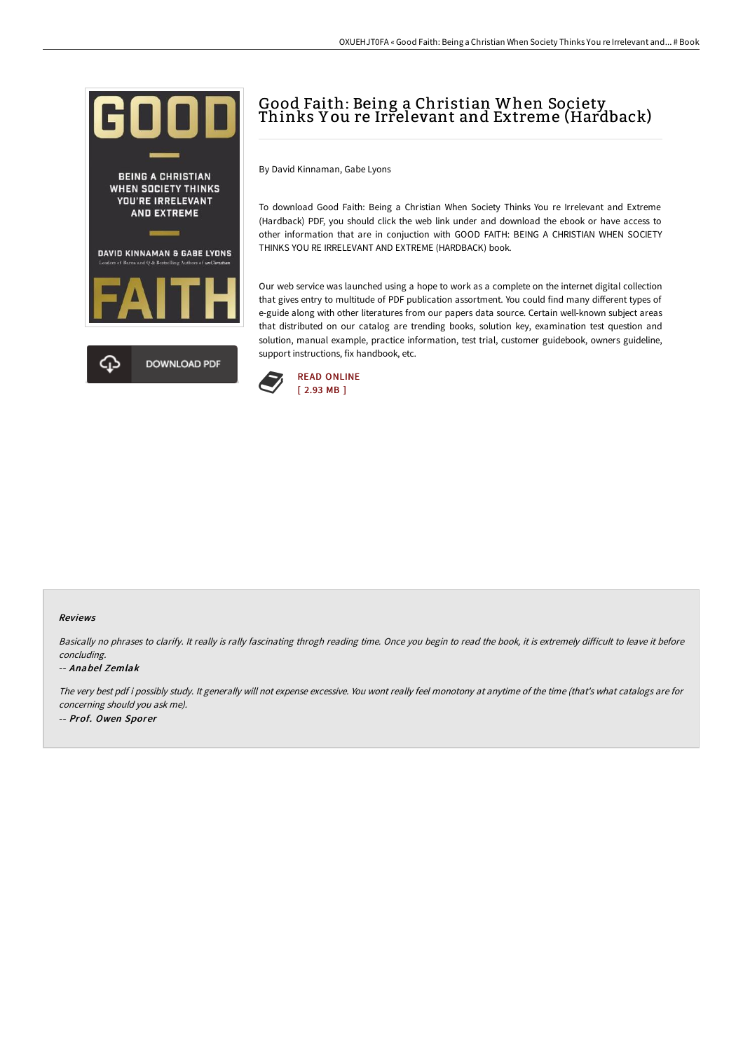

# Good Faith: Being a Christian When Society Thinks Y ou re Irrelevant and Extreme (Hardback)

By David Kinnaman, Gabe Lyons

To download Good Faith: Being a Christian When Society Thinks You re Irrelevant and Extreme (Hardback) PDF, you should click the web link under and download the ebook or have access to other information that are in conjuction with GOOD FAITH: BEING A CHRISTIAN WHEN SOCIETY THINKS YOU RE IRRELEVANT AND EXTREME (HARDBACK) book.

Our web service was launched using a hope to work as a complete on the internet digital collection that gives entry to multitude of PDF publication assortment. You could find many different types of e-guide along with other literatures from our papers data source. Certain well-known subject areas that distributed on our catalog are trending books, solution key, examination test question and solution, manual example, practice information, test trial, customer guidebook, owners guideline, support instructions, fix handbook, etc.



#### Reviews

Basically no phrases to clarify. It really is rally fascinating throgh reading time. Once you begin to read the book, it is extremely difficult to leave it before concluding.

#### -- Anabel Zemlak

The very best pdf i possibly study. It generally will not expense excessive. You wont really feel monotony at anytime of the time (that's what catalogs are for concerning should you ask me). -- Prof. Owen Sporer